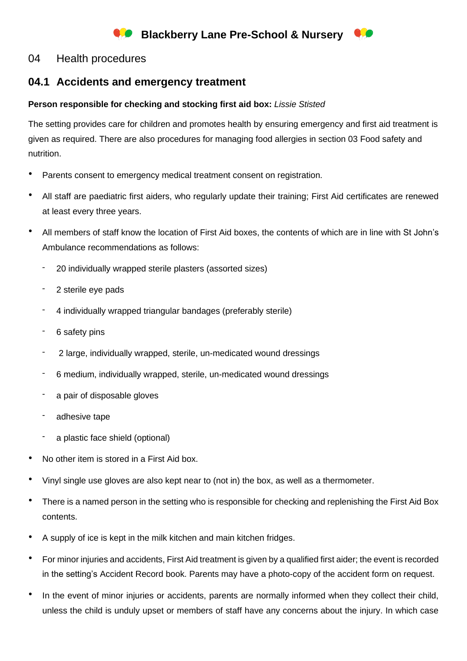# **Blackberry Lane Pre-School & Nursery**

## 04 Health procedures

## **04.1 Accidents and emergency treatment**

### **Person responsible for checking and stocking first aid box:** *Lissie Stisted*

The setting provides care for children and promotes health by ensuring emergency and first aid treatment is given as required. There are also procedures for managing food allergies in section 03 Food safety and nutrition.

- Parents consent to emergency medical treatment consent on registration.
- All staff are paediatric first aiders, who regularly update their training; First Aid certificates are renewed at least every three years.
- All members of staff know the location of First Aid boxes, the contents of which are in line with St John's Ambulance recommendations as follows:
	- 20 individually wrapped sterile plasters (assorted sizes)
	- 2 sterile eve pads
	- 4 individually wrapped triangular bandages (preferably sterile)
	- 6 safety pins
	- 2 large, individually wrapped, sterile, un-medicated wound dressings
	- 6 medium, individually wrapped, sterile, un-medicated wound dressings
	- a pair of disposable gloves
	- adhesive tape
	- a plastic face shield (optional)
- No other item is stored in a First Aid box.
- Vinyl single use gloves are also kept near to (not in) the box, as well as a thermometer.
- There is a named person in the setting who is responsible for checking and replenishing the First Aid Box contents.
- A supply of ice is kept in the milk kitchen and main kitchen fridges.
- For minor injuries and accidents, First Aid treatment is given by a qualified first aider; the event is recorded in the setting's Accident Record book. Parents may have a photo-copy of the accident form on request.
- In the event of minor injuries or accidents, parents are normally informed when they collect their child, unless the child is unduly upset or members of staff have any concerns about the injury. In which case